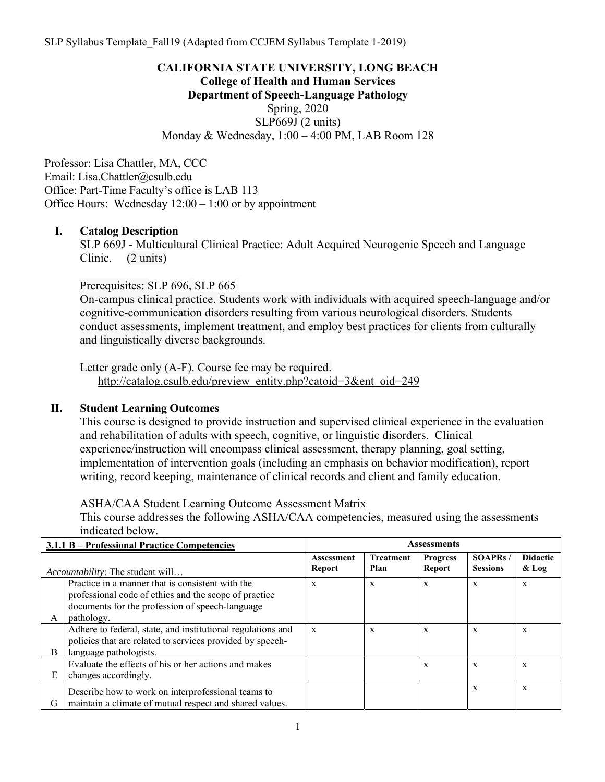## **CALIFORNIA STATE UNIVERSITY, LONG BEACH College of Health and Human Services Department of Speech-Language Pathology**  Spring, 2020 SLP669J (2 units) Monday & Wednesday, 1:00 – 4:00 PM, LAB Room 128

Professor: Lisa Chattler, MA, CCC Email: Lisa.Chattler@csulb.edu Office: Part-Time Faculty's office is LAB 113 Office Hours: Wednesday 12:00 – 1:00 or by appointment

## **I. Catalog Description**

SLP 669J - Multicultural Clinical Practice: Adult Acquired Neurogenic Speech and Language Clinic. (2 units)

Prerequisites: SLP 696, SLP 665

On-campus clinical practice. Students work with individuals with acquired speech-language and/or cognitive-communication disorders resulting from various neurological disorders. Students conduct assessments, implement treatment, and employ best practices for clients from culturally and linguistically diverse backgrounds.

Letter grade only (A-F). Course fee may be required. http://catalog.csulb.edu/preview\_entity.php?catoid=3&ent\_oid=249

#### **II. Student Learning Outcomes**

This course is designed to provide instruction and supervised clinical experience in the evaluation and rehabilitation of adults with speech, cognitive, or linguistic disorders. Clinical experience/instruction will encompass clinical assessment, therapy planning, goal setting, implementation of intervention goals (including an emphasis on behavior modification), report writing, record keeping, maintenance of clinical records and client and family education.

ASHA/CAA Student Learning Outcome Assessment Matrix

This course addresses the following ASHA/CAA competencies, measured using the assessments indicated below.

|                                                                                                                                                              | 3.1.1 B – Professional Practice Competencies                                                                                                       | <b>Assessments</b>                 |                          |                           |                                    |                            |
|--------------------------------------------------------------------------------------------------------------------------------------------------------------|----------------------------------------------------------------------------------------------------------------------------------------------------|------------------------------------|--------------------------|---------------------------|------------------------------------|----------------------------|
| <i>Accountability:</i> The student will                                                                                                                      |                                                                                                                                                    | <b>Assessment</b><br><b>Report</b> | <b>Treatment</b><br>Plan | <b>Progress</b><br>Report | <b>SOAPRs</b> /<br><b>Sessions</b> | <b>Didactic</b><br>$&$ Log |
| Practice in a manner that is consistent with the<br>professional code of ethics and the scope of practice<br>documents for the profession of speech-language |                                                                                                                                                    | X                                  | X                        | X                         | X                                  | $\mathbf x$                |
| A                                                                                                                                                            | pathology.                                                                                                                                         |                                    |                          |                           |                                    |                            |
| B                                                                                                                                                            | Adhere to federal, state, and institutional regulations and<br>policies that are related to services provided by speech-<br>language pathologists. | $\mathbf{x}$                       | X                        | X                         | X                                  | X                          |
| E                                                                                                                                                            | Evaluate the effects of his or her actions and makes<br>changes accordingly.                                                                       |                                    |                          | X                         | X                                  | X                          |
| G                                                                                                                                                            | Describe how to work on interprofessional teams to<br>maintain a climate of mutual respect and shared values.                                      |                                    |                          |                           | X                                  | X                          |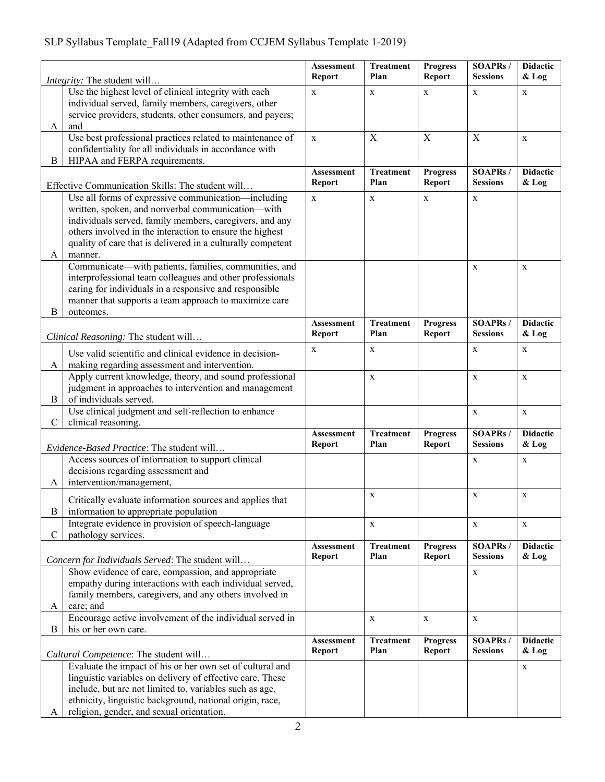# SLP Syllabus Template\_Fall19 (Adapted from CCJEM Syllabus Template 1-2019)

|                                                                                            | <i>Integrity:</i> The student will                                                                                                                                                                                                                                                                                                  | Assessment<br><b>Report</b>        | <b>Treatment</b><br>Plan | <b>Progress</b><br><b>Report</b> | <b>SOAPRs/</b><br><b>Sessions</b> | <b>Didactic</b><br>& Log   |
|--------------------------------------------------------------------------------------------|-------------------------------------------------------------------------------------------------------------------------------------------------------------------------------------------------------------------------------------------------------------------------------------------------------------------------------------|------------------------------------|--------------------------|----------------------------------|-----------------------------------|----------------------------|
|                                                                                            | Use the highest level of clinical integrity with each<br>individual served, family members, caregivers, other<br>service providers, students, other consumers, and payers;                                                                                                                                                          |                                    | $\mathbf X$              | X                                | X                                 | X                          |
| A                                                                                          | and<br>Use best professional practices related to maintenance of<br>confidentiality for all individuals in accordance with                                                                                                                                                                                                          | X                                  | X                        | X                                | X                                 | X                          |
| B                                                                                          | HIPAA and FERPA requirements.                                                                                                                                                                                                                                                                                                       | <b>Assessment</b>                  | <b>Treatment</b>         | <b>Progress</b>                  | <b>SOAPRs</b> /                   | <b>Didactic</b>            |
|                                                                                            | Effective Communication Skills: The student will                                                                                                                                                                                                                                                                                    | Report                             | Plan                     | Report                           | <b>Sessions</b>                   | & Log                      |
| A                                                                                          | Use all forms of expressive communication—including<br>written, spoken, and nonverbal communication-with<br>individuals served, family members, caregivers, and any<br>others involved in the interaction to ensure the highest<br>quality of care that is delivered in a culturally competent<br>manner.                           | $\mathbf X$                        | $\mathbf X$              | X                                | X                                 |                            |
| B                                                                                          | Communicate—with patients, families, communities, and<br>interprofessional team colleagues and other professionals<br>caring for individuals in a responsive and responsible<br>manner that supports a team approach to maximize care<br>outcomes.                                                                                  |                                    |                          |                                  | X                                 | X                          |
|                                                                                            | Clinical Reasoning: The student will                                                                                                                                                                                                                                                                                                | <b>Assessment</b><br>Report        | <b>Treatment</b><br>Plan | <b>Progress</b><br>Report        | <b>SOAPRs/</b><br><b>Sessions</b> | <b>Didactic</b><br>$&$ Log |
| A                                                                                          | Use valid scientific and clinical evidence in decision-<br>making regarding assessment and intervention.                                                                                                                                                                                                                            | X                                  | X                        |                                  | X                                 | X                          |
| B                                                                                          | Apply current knowledge, theory, and sound professional<br>judgment in approaches to intervention and management<br>of individuals served.                                                                                                                                                                                          |                                    | $\mathbf X$              |                                  | X                                 | $\mathbf X$                |
| Use clinical judgment and self-reflection to enhance<br>$\mathbf C$<br>clinical reasoning. |                                                                                                                                                                                                                                                                                                                                     |                                    |                          |                                  | $\mathbf X$                       | $\mathbf X$                |
| Evidence-Based Practice: The student will                                                  |                                                                                                                                                                                                                                                                                                                                     | <b>Assessment</b><br><b>Report</b> | <b>Treatment</b><br>Plan | <b>Progress</b><br><b>Report</b> | <b>SOAPRs/</b><br><b>Sessions</b> | <b>Didactic</b><br>& Log   |
| A                                                                                          | Access sources of information to support clinical<br>decisions regarding assessment and<br>intervention/management,                                                                                                                                                                                                                 |                                    |                          |                                  | X                                 | $\mathbf X$                |
| B                                                                                          | Critically evaluate information sources and applies that<br>information to appropriate population                                                                                                                                                                                                                                   |                                    | X                        |                                  | X                                 | X                          |
| $\mathbf C$                                                                                | Integrate evidence in provision of speech-language<br>pathology services.                                                                                                                                                                                                                                                           |                                    | $\mathbf X$              |                                  | $\mathbf X$                       | X                          |
|                                                                                            | Concern for Individuals Served: The student will                                                                                                                                                                                                                                                                                    | <b>Assessment</b><br><b>Report</b> | <b>Treatment</b><br>Plan | <b>Progress</b><br>Report        | <b>SOAPRs/</b><br><b>Sessions</b> | <b>Didactic</b><br>$&$ Log |
| A                                                                                          | Show evidence of care, compassion, and appropriate<br>empathy during interactions with each individual served,<br>family members, caregivers, and any others involved in<br>care; and                                                                                                                                               |                                    |                          |                                  | X                                 |                            |
|                                                                                            | Encourage active involvement of the individual served in                                                                                                                                                                                                                                                                            |                                    | $\mathbf X$              | X                                | $\mathbf X$                       |                            |
| his or her own care.<br>B                                                                  |                                                                                                                                                                                                                                                                                                                                     | <b>Assessment</b><br>Report        | <b>Treatment</b><br>Plan | <b>Progress</b><br>Report        | <b>SOAPRs/</b><br><b>Sessions</b> | <b>Didactic</b><br>$&$ Log |
| A                                                                                          | Cultural Competence: The student will<br>Evaluate the impact of his or her own set of cultural and<br>linguistic variables on delivery of effective care. These<br>include, but are not limited to, variables such as age,<br>ethnicity, linguistic background, national origin, race,<br>religion, gender, and sexual orientation. |                                    |                          |                                  |                                   | X                          |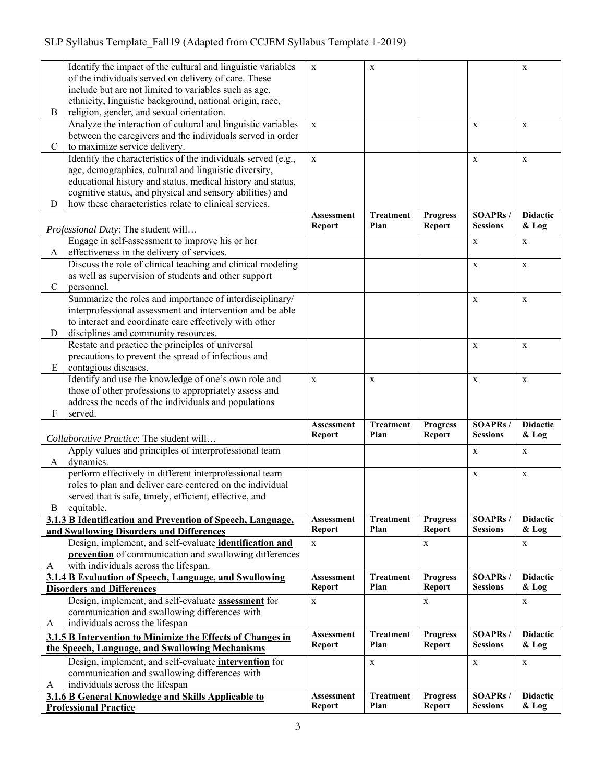## SLP Syllabus Template\_Fall19 (Adapted from CCJEM Syllabus Template 1-2019)

|               | Identify the impact of the cultural and linguistic variables                                | $\mathbf x$                 | $\mathbf X$              |                           |                                   | $\mathbf X$                |
|---------------|---------------------------------------------------------------------------------------------|-----------------------------|--------------------------|---------------------------|-----------------------------------|----------------------------|
|               | of the individuals served on delivery of care. These                                        |                             |                          |                           |                                   |                            |
|               | include but are not limited to variables such as age,                                       |                             |                          |                           |                                   |                            |
|               | ethnicity, linguistic background, national origin, race,                                    |                             |                          |                           |                                   |                            |
| B             | religion, gender, and sexual orientation.                                                   |                             |                          |                           |                                   |                            |
|               | Analyze the interaction of cultural and linguistic variables                                | $\mathbf X$                 |                          |                           | $\mathbf X$                       | $\mathbf X$                |
|               |                                                                                             |                             |                          |                           |                                   |                            |
| $\mathcal{C}$ | between the caregivers and the individuals served in order<br>to maximize service delivery. |                             |                          |                           |                                   |                            |
|               | Identify the characteristics of the individuals served (e.g.,                               | $\mathbf{X}$                |                          |                           | $\mathbf X$                       |                            |
|               | age, demographics, cultural and linguistic diversity,                                       |                             |                          |                           |                                   | X                          |
|               | educational history and status, medical history and status,                                 |                             |                          |                           |                                   |                            |
|               | cognitive status, and physical and sensory abilities) and                                   |                             |                          |                           |                                   |                            |
| D             | how these characteristics relate to clinical services.                                      |                             |                          |                           |                                   |                            |
|               |                                                                                             | <b>Assessment</b>           | <b>Treatment</b>         | <b>Progress</b>           | <b>SOAPRs/</b>                    | <b>Didactic</b>            |
|               |                                                                                             | <b>Report</b>               | Plan                     | <b>Report</b>             | <b>Sessions</b>                   | & Log                      |
|               | Professional Duty: The student will                                                         |                             |                          |                           |                                   |                            |
|               | Engage in self-assessment to improve his or her                                             |                             |                          |                           | X                                 | X                          |
| A             | effectiveness in the delivery of services.                                                  |                             |                          |                           |                                   |                            |
|               | Discuss the role of clinical teaching and clinical modeling                                 |                             |                          |                           | $\mathbf X$                       | $\mathbf X$                |
|               | as well as supervision of students and other support                                        |                             |                          |                           |                                   |                            |
| $\mathbf C$   | personnel.                                                                                  |                             |                          |                           |                                   |                            |
|               | Summarize the roles and importance of interdisciplinary/                                    |                             |                          |                           | $\mathbf X$                       | $\mathbf X$                |
|               | interprofessional assessment and intervention and be able                                   |                             |                          |                           |                                   |                            |
|               | to interact and coordinate care effectively with other                                      |                             |                          |                           |                                   |                            |
| D             | disciplines and community resources.                                                        |                             |                          |                           |                                   |                            |
|               | Restate and practice the principles of universal                                            |                             |                          |                           | $\mathbf X$                       | $\mathbf X$                |
|               | precautions to prevent the spread of infectious and                                         |                             |                          |                           |                                   |                            |
| ${\bf E}$     | contagious diseases.                                                                        |                             |                          |                           |                                   |                            |
|               | Identify and use the knowledge of one's own role and                                        | $\mathbf{X}$                | $\mathbf X$              |                           | $\mathbf X$                       | $\mathbf X$                |
|               |                                                                                             |                             |                          |                           |                                   |                            |
|               | those of other professions to appropriately assess and                                      |                             |                          |                           |                                   |                            |
|               | address the needs of the individuals and populations                                        |                             |                          |                           |                                   |                            |
| F             | served.                                                                                     |                             |                          |                           |                                   |                            |
|               |                                                                                             | Assessment                  | <b>Treatment</b>         | <b>Progress</b>           | <b>SOAPRs/</b>                    | <b>Didactic</b>            |
|               | Collaborative Practice: The student will                                                    | <b>Report</b>               | Plan                     | <b>Report</b>             | <b>Sessions</b>                   | & Log                      |
|               | Apply values and principles of interprofessional team                                       |                             |                          |                           | $\mathbf X$                       | $\mathbf X$                |
| A             | dynamics.                                                                                   |                             |                          |                           |                                   |                            |
|               | perform effectively in different interprofessional team                                     |                             |                          |                           | $\mathbf X$                       | $\mathbf X$                |
|               | roles to plan and deliver care centered on the individual                                   |                             |                          |                           |                                   |                            |
|               | served that is safe, timely, efficient, effective, and                                      |                             |                          |                           |                                   |                            |
| $\bf{B}$      | equitable.                                                                                  |                             |                          |                           |                                   |                            |
|               | 3.1.3 B Identification and Prevention of Speech, Language,                                  | <b>Assessment</b>           | <b>Treatment</b>         | <b>Progress</b>           | <b>SOAPRs/</b>                    | <b>Didactic</b>            |
|               | and Swallowing Disorders and Differences                                                    | <b>Report</b>               | Plan                     | Report                    | <b>Sessions</b>                   | & Log                      |
|               | Design, implement, and self-evaluate identification and                                     | $\mathbf X$                 |                          | $\mathbf X$               |                                   | X                          |
|               | prevention of communication and swallowing differences                                      |                             |                          |                           |                                   |                            |
| A             | with individuals across the lifespan.                                                       |                             |                          |                           |                                   |                            |
|               | 3.1.4 B Evaluation of Speech, Language, and Swallowing                                      | <b>Assessment</b>           | <b>Treatment</b><br>Plan | <b>Progress</b>           | <b>SOAPRs/</b><br><b>Sessions</b> | <b>Didactic</b>            |
|               | <b>Disorders and Differences</b>                                                            | Report                      |                          | <b>Report</b>             |                                   | $&$ Log                    |
|               | Design, implement, and self-evaluate <b>assessment</b> for                                  | $\mathbf X$                 |                          | X                         |                                   | X                          |
|               | communication and swallowing differences with                                               |                             |                          |                           |                                   |                            |
| A             | individuals across the lifespan                                                             |                             |                          |                           |                                   |                            |
|               | 3.1.5 B Intervention to Minimize the Effects of Changes in                                  | <b>Assessment</b>           | <b>Treatment</b><br>Plan | <b>Progress</b>           | SOAPRs/<br><b>Sessions</b>        | <b>Didactic</b>            |
|               | the Speech, Language, and Swallowing Mechanisms                                             | Report                      |                          | Report                    |                                   | & Log                      |
|               | Design, implement, and self-evaluate intervention for                                       |                             | $\mathbf X$              |                           | $\mathbf X$                       | $\mathbf X$                |
|               | communication and swallowing differences with                                               |                             |                          |                           |                                   |                            |
| A             | individuals across the lifespan                                                             |                             |                          |                           |                                   |                            |
|               | 3.1.6 B General Knowledge and Skills Applicable to<br><b>Professional Practice</b>          | Assessment<br><b>Report</b> | <b>Treatment</b><br>Plan | <b>Progress</b><br>Report | <b>SOAPRs/</b><br><b>Sessions</b> | <b>Didactic</b><br>$&$ Log |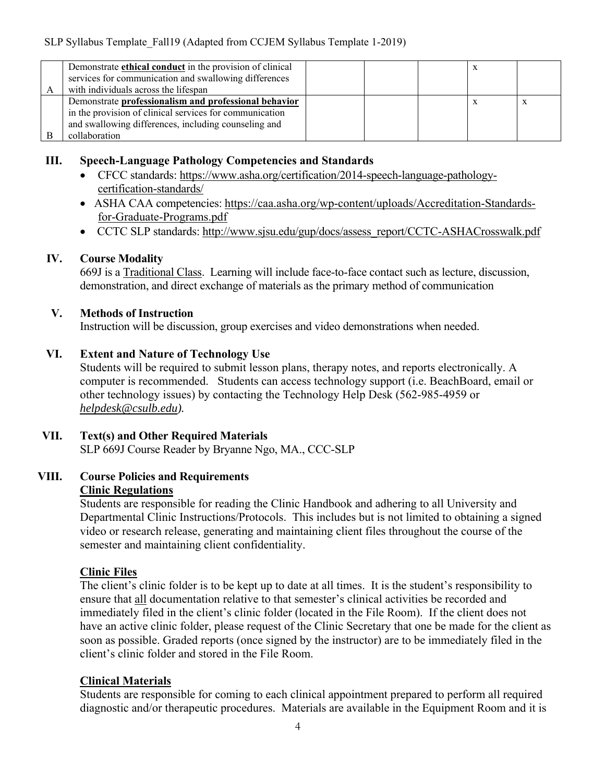| Demonstrate ethical conduct in the provision of clinical<br>services for communication and swallowing differences<br>with individuals across the lifespan                                 |  |  |  |
|-------------------------------------------------------------------------------------------------------------------------------------------------------------------------------------------|--|--|--|
| Demonstrate professionalism and professional behavior<br>in the provision of clinical services for communication<br>and swallowing differences, including counseling and<br>collaboration |  |  |  |

## **III. Speech-Language Pathology Competencies and Standards**

- CFCC standards: https://www.asha.org/certification/2014-speech-language-pathologycertification-standards/
- ASHA CAA competencies: https://caa.asha.org/wp-content/uploads/Accreditation-Standardsfor-Graduate-Programs.pdf
- CCTC SLP standards: http://www.sjsu.edu/gup/docs/assess\_report/CCTC-ASHACrosswalk.pdf

## **IV. Course Modality**

669J is a Traditional Class. Learning will include face-to-face contact such as lecture, discussion, demonstration, and direct exchange of materials as the primary method of communication

## **V. Methods of Instruction**

Instruction will be discussion, group exercises and video demonstrations when needed.

## **VI. Extent and Nature of Technology Use**

Students will be required to submit lesson plans, therapy notes, and reports electronically. A computer is recommended. Students can access technology support (i.e. BeachBoard, email or other technology issues) by contacting the Technology Help Desk (562-985-4959 or *helpdesk@csulb.edu).* 

## **VII. Text(s) and Other Required Materials**

SLP 669J Course Reader by Bryanne Ngo, MA., CCC-SLP

## **VIII. Course Policies and Requirements Clinic Regulations**

Students are responsible for reading the Clinic Handbook and adhering to all University and Departmental Clinic Instructions/Protocols. This includes but is not limited to obtaining a signed video or research release, generating and maintaining client files throughout the course of the semester and maintaining client confidentiality.

## **Clinic Files**

The client's clinic folder is to be kept up to date at all times. It is the student's responsibility to ensure that all documentation relative to that semester's clinical activities be recorded and immediately filed in the client's clinic folder (located in the File Room). If the client does not have an active clinic folder, please request of the Clinic Secretary that one be made for the client as soon as possible. Graded reports (once signed by the instructor) are to be immediately filed in the client's clinic folder and stored in the File Room.

## **Clinical Materials**

Students are responsible for coming to each clinical appointment prepared to perform all required diagnostic and/or therapeutic procedures. Materials are available in the Equipment Room and it is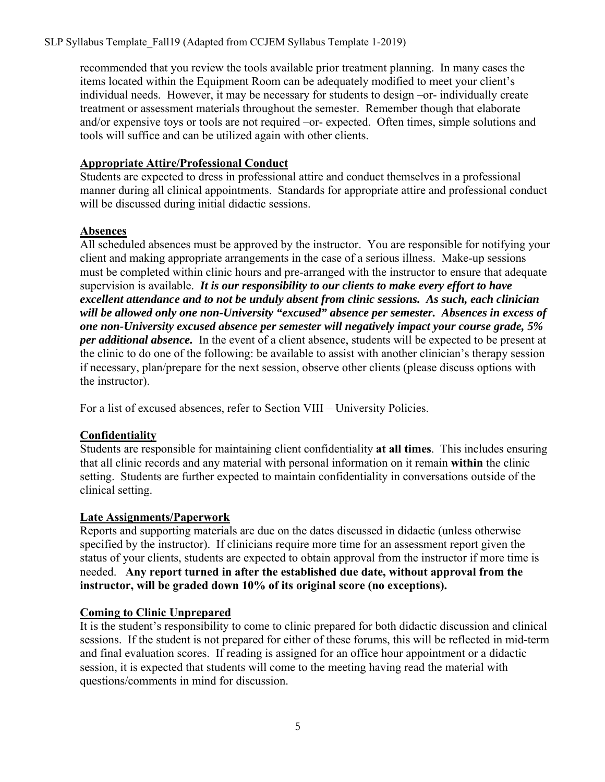recommended that you review the tools available prior treatment planning. In many cases the items located within the Equipment Room can be adequately modified to meet your client's individual needs. However, it may be necessary for students to design –or- individually create treatment or assessment materials throughout the semester. Remember though that elaborate and/or expensive toys or tools are not required –or- expected. Often times, simple solutions and tools will suffice and can be utilized again with other clients.

## **Appropriate Attire/Professional Conduct**

Students are expected to dress in professional attire and conduct themselves in a professional manner during all clinical appointments. Standards for appropriate attire and professional conduct will be discussed during initial didactic sessions.

## **Absences**

All scheduled absences must be approved by the instructor. You are responsible for notifying your client and making appropriate arrangements in the case of a serious illness. Make-up sessions must be completed within clinic hours and pre-arranged with the instructor to ensure that adequate supervision is available. *It is our responsibility to our clients to make every effort to have excellent attendance and to not be unduly absent from clinic sessions. As such, each clinician will be allowed only one non-University "excused" absence per semester. Absences in excess of one non-University excused absence per semester will negatively impact your course grade, 5% per additional absence.* In the event of a client absence, students will be expected to be present at the clinic to do one of the following: be available to assist with another clinician's therapy session if necessary, plan/prepare for the next session, observe other clients (please discuss options with the instructor).

For a list of excused absences, refer to Section VIII – University Policies.

## **Confidentiality**

Students are responsible for maintaining client confidentiality **at all times**. This includes ensuring that all clinic records and any material with personal information on it remain **within** the clinic setting. Students are further expected to maintain confidentiality in conversations outside of the clinical setting.

## **Late Assignments/Paperwork**

Reports and supporting materials are due on the dates discussed in didactic (unless otherwise specified by the instructor). If clinicians require more time for an assessment report given the status of your clients, students are expected to obtain approval from the instructor if more time is needed. **Any report turned in after the established due date, without approval from the instructor, will be graded down 10% of its original score (no exceptions).** 

## **Coming to Clinic Unprepared**

It is the student's responsibility to come to clinic prepared for both didactic discussion and clinical sessions. If the student is not prepared for either of these forums, this will be reflected in mid-term and final evaluation scores. If reading is assigned for an office hour appointment or a didactic session, it is expected that students will come to the meeting having read the material with questions/comments in mind for discussion.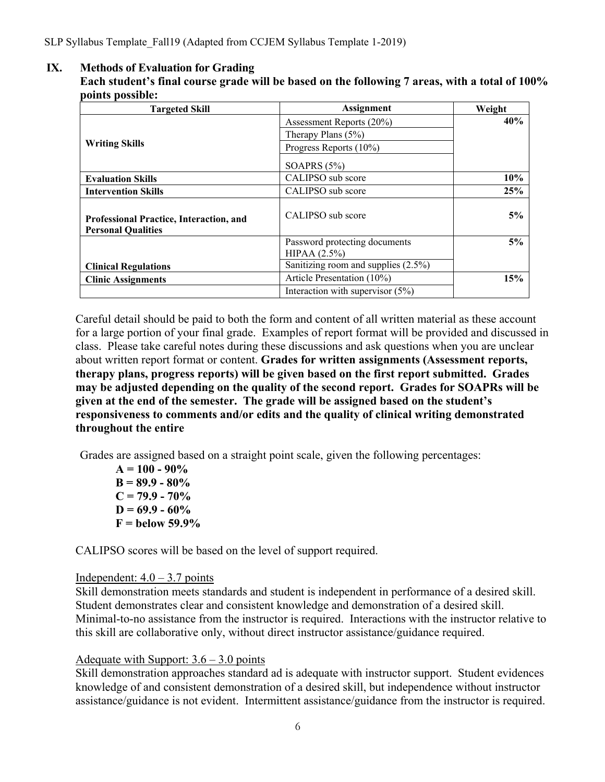#### **IX. Methods of Evaluation for Grading**

**Each student's final course grade will be based on the following 7 areas, with a total of 100% points possible:**

| <b>Targeted Skill</b>                                                       | <b>Assignment</b>                   | Weight |
|-----------------------------------------------------------------------------|-------------------------------------|--------|
|                                                                             | Assessment Reports (20%)            | 40%    |
|                                                                             | Therapy Plans $(5\%)$               |        |
| <b>Writing Skills</b>                                                       | Progress Reports (10%)              |        |
|                                                                             | SOAPRS $(5%)$                       |        |
| <b>Evaluation Skills</b>                                                    | CALIPSO sub score                   | 10%    |
| <b>Intervention Skills</b>                                                  | CALIPSO sub score                   | 25%    |
| <b>Professional Practice, Interaction, and</b><br><b>Personal Qualities</b> | CALIPSO sub score                   | 5%     |
|                                                                             | Password protecting documents       | 5%     |
|                                                                             | HIPAA (2.5%)                        |        |
| <b>Clinical Regulations</b>                                                 | Sanitizing room and supplies (2.5%) |        |
| <b>Clinic Assignments</b>                                                   | Article Presentation (10%)          | 15%    |
|                                                                             | Interaction with supervisor $(5%)$  |        |

Careful detail should be paid to both the form and content of all written material as these account for a large portion of your final grade. Examples of report format will be provided and discussed in class. Please take careful notes during these discussions and ask questions when you are unclear about written report format or content. **Grades for written assignments (Assessment reports, therapy plans, progress reports) will be given based on the first report submitted. Grades may be adjusted depending on the quality of the second report. Grades for SOAPRs will be given at the end of the semester. The grade will be assigned based on the student's responsiveness to comments and/or edits and the quality of clinical writing demonstrated throughout the entire**

Grades are assigned based on a straight point scale, given the following percentages:

**A = 100 - 90% B = 89.9 - 80%**   $C = 79.9 - 70\%$  $D = 69.9 - 60\%$ **F = below 59.9%** 

CALIPSO scores will be based on the level of support required.

#### Independent:  $4.0 - 3.7$  points

Skill demonstration meets standards and student is independent in performance of a desired skill. Student demonstrates clear and consistent knowledge and demonstration of a desired skill. Minimal-to-no assistance from the instructor is required. Interactions with the instructor relative to this skill are collaborative only, without direct instructor assistance/guidance required.

## Adequate with Support:  $3.6 - 3.0$  points

Skill demonstration approaches standard ad is adequate with instructor support. Student evidences knowledge of and consistent demonstration of a desired skill, but independence without instructor assistance/guidance is not evident. Intermittent assistance/guidance from the instructor is required.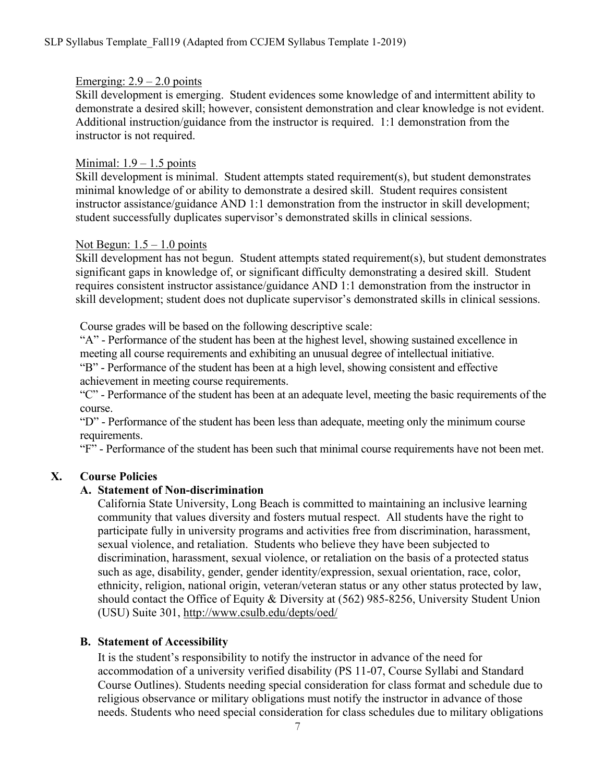#### Emerging:  $2.9 - 2.0$  points

Skill development is emerging. Student evidences some knowledge of and intermittent ability to demonstrate a desired skill; however, consistent demonstration and clear knowledge is not evident. Additional instruction/guidance from the instructor is required. 1:1 demonstration from the instructor is not required.

#### Minimal:  $1.9 - 1.5$  points

Skill development is minimal. Student attempts stated requirement(s), but student demonstrates minimal knowledge of or ability to demonstrate a desired skill. Student requires consistent instructor assistance/guidance AND 1:1 demonstration from the instructor in skill development; student successfully duplicates supervisor's demonstrated skills in clinical sessions.

#### Not Begun:  $1.5 - 1.0$  points

Skill development has not begun. Student attempts stated requirement(s), but student demonstrates significant gaps in knowledge of, or significant difficulty demonstrating a desired skill. Student requires consistent instructor assistance/guidance AND 1:1 demonstration from the instructor in skill development; student does not duplicate supervisor's demonstrated skills in clinical sessions.

Course grades will be based on the following descriptive scale:

"A" - Performance of the student has been at the highest level, showing sustained excellence in meeting all course requirements and exhibiting an unusual degree of intellectual initiative.

"B" - Performance of the student has been at a high level, showing consistent and effective achievement in meeting course requirements.

"C" - Performance of the student has been at an adequate level, meeting the basic requirements of the course.

"D" - Performance of the student has been less than adequate, meeting only the minimum course requirements.

"F" - Performance of the student has been such that minimal course requirements have not been met.

#### **X. Course Policies**

#### **A. Statement of Non-discrimination**

California State University, Long Beach is committed to maintaining an inclusive learning community that values diversity and fosters mutual respect. All students have the right to participate fully in university programs and activities free from discrimination, harassment, sexual violence, and retaliation. Students who believe they have been subjected to discrimination, harassment, sexual violence, or retaliation on the basis of a protected status such as age, disability, gender, gender identity/expression, sexual orientation, race, color, ethnicity, religion, national origin, veteran/veteran status or any other status protected by law, should contact the Office of Equity & Diversity at (562) 985-8256, University Student Union (USU) Suite 301, http://www.csulb.edu/depts/oed/

#### **B. Statement of Accessibility**

It is the student's responsibility to notify the instructor in advance of the need for accommodation of a university verified disability (PS 11-07, Course Syllabi and Standard Course Outlines). Students needing special consideration for class format and schedule due to religious observance or military obligations must notify the instructor in advance of those needs. Students who need special consideration for class schedules due to military obligations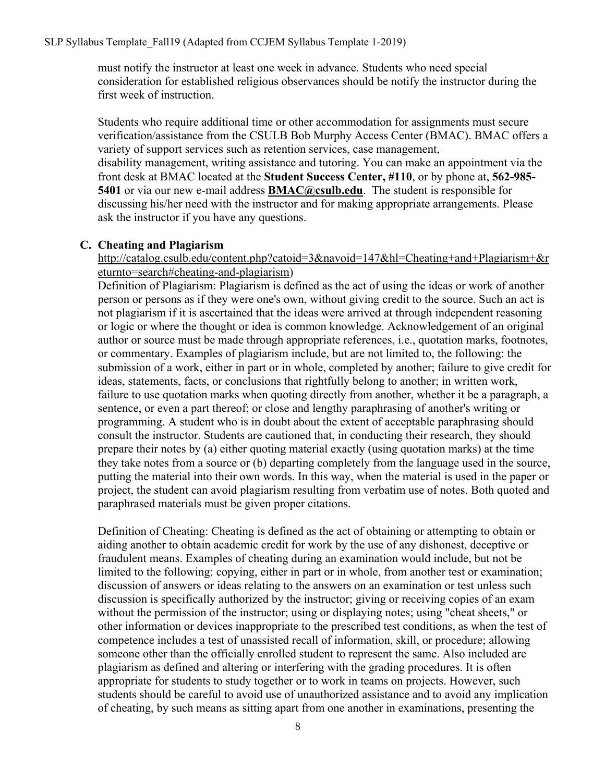#### SLP Syllabus Template\_Fall19 (Adapted from CCJEM Syllabus Template 1-2019)

must notify the instructor at least one week in advance. Students who need special consideration for established religious observances should be notify the instructor during the first week of instruction.

Students who require additional time or other accommodation for assignments must secure verification/assistance from the CSULB Bob Murphy Access Center (BMAC). BMAC offers a variety of support services such as retention services, case management, disability management, writing assistance and tutoring. You can make an appointment via the front desk at BMAC located at the **Student Success Center, #110**, or by phone at, **562-985- 5401** or via our new e-mail address **BMAC@csulb.edu**. The student is responsible for discussing his/her need with the instructor and for making appropriate arrangements. Please ask the instructor if you have any questions.

#### **C. Cheating and Plagiarism**

http://catalog.csulb.edu/content.php?catoid=3&navoid=147&hl=Cheating+and+Plagiarism+&r eturnto=search#cheating-and-plagiarism)

Definition of Plagiarism: Plagiarism is defined as the act of using the ideas or work of another person or persons as if they were one's own, without giving credit to the source. Such an act is not plagiarism if it is ascertained that the ideas were arrived at through independent reasoning or logic or where the thought or idea is common knowledge. Acknowledgement of an original author or source must be made through appropriate references, i.e., quotation marks, footnotes, or commentary. Examples of plagiarism include, but are not limited to, the following: the submission of a work, either in part or in whole, completed by another; failure to give credit for ideas, statements, facts, or conclusions that rightfully belong to another; in written work, failure to use quotation marks when quoting directly from another, whether it be a paragraph, a sentence, or even a part thereof; or close and lengthy paraphrasing of another's writing or programming. A student who is in doubt about the extent of acceptable paraphrasing should consult the instructor. Students are cautioned that, in conducting their research, they should prepare their notes by (a) either quoting material exactly (using quotation marks) at the time they take notes from a source or (b) departing completely from the language used in the source, putting the material into their own words. In this way, when the material is used in the paper or project, the student can avoid plagiarism resulting from verbatim use of notes. Both quoted and paraphrased materials must be given proper citations.

Definition of Cheating: Cheating is defined as the act of obtaining or attempting to obtain or aiding another to obtain academic credit for work by the use of any dishonest, deceptive or fraudulent means. Examples of cheating during an examination would include, but not be limited to the following: copying, either in part or in whole, from another test or examination; discussion of answers or ideas relating to the answers on an examination or test unless such discussion is specifically authorized by the instructor; giving or receiving copies of an exam without the permission of the instructor; using or displaying notes; using "cheat sheets," or other information or devices inappropriate to the prescribed test conditions, as when the test of competence includes a test of unassisted recall of information, skill, or procedure; allowing someone other than the officially enrolled student to represent the same. Also included are plagiarism as defined and altering or interfering with the grading procedures. It is often appropriate for students to study together or to work in teams on projects. However, such students should be careful to avoid use of unauthorized assistance and to avoid any implication of cheating, by such means as sitting apart from one another in examinations, presenting the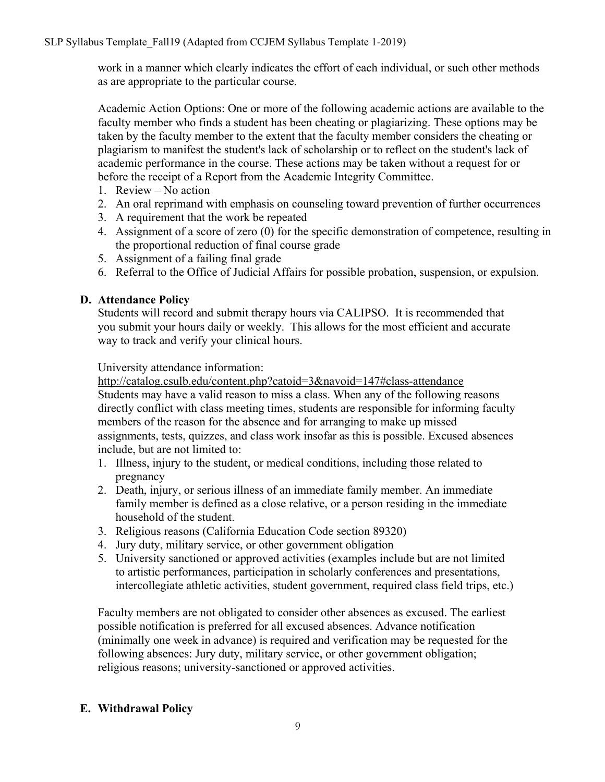work in a manner which clearly indicates the effort of each individual, or such other methods as are appropriate to the particular course.

Academic Action Options: One or more of the following academic actions are available to the faculty member who finds a student has been cheating or plagiarizing. These options may be taken by the faculty member to the extent that the faculty member considers the cheating or plagiarism to manifest the student's lack of scholarship or to reflect on the student's lack of academic performance in the course. These actions may be taken without a request for or before the receipt of a Report from the Academic Integrity Committee.

- 1. Review No action
- 2. An oral reprimand with emphasis on counseling toward prevention of further occurrences
- 3. A requirement that the work be repeated
- 4. Assignment of a score of zero (0) for the specific demonstration of competence, resulting in the proportional reduction of final course grade
- 5. Assignment of a failing final grade
- 6. Referral to the Office of Judicial Affairs for possible probation, suspension, or expulsion.

#### **D. Attendance Policy**

Students will record and submit therapy hours via CALIPSO. It is recommended that you submit your hours daily or weekly. This allows for the most efficient and accurate way to track and verify your clinical hours.

University attendance information:

http://catalog.csulb.edu/content.php?catoid=3&navoid=147#class-attendance Students may have a valid reason to miss a class. When any of the following reasons directly conflict with class meeting times, students are responsible for informing faculty members of the reason for the absence and for arranging to make up missed assignments, tests, quizzes, and class work insofar as this is possible. Excused absences include, but are not limited to:

- 1. Illness, injury to the student, or medical conditions, including those related to pregnancy
- 2. Death, injury, or serious illness of an immediate family member. An immediate family member is defined as a close relative, or a person residing in the immediate household of the student.
- 3. Religious reasons (California Education Code section 89320)
- 4. Jury duty, military service, or other government obligation
- 5. University sanctioned or approved activities (examples include but are not limited to artistic performances, participation in scholarly conferences and presentations, intercollegiate athletic activities, student government, required class field trips, etc.)

Faculty members are not obligated to consider other absences as excused. The earliest possible notification is preferred for all excused absences. Advance notification (minimally one week in advance) is required and verification may be requested for the following absences: Jury duty, military service, or other government obligation; religious reasons; university-sanctioned or approved activities.

#### **E. Withdrawal Policy**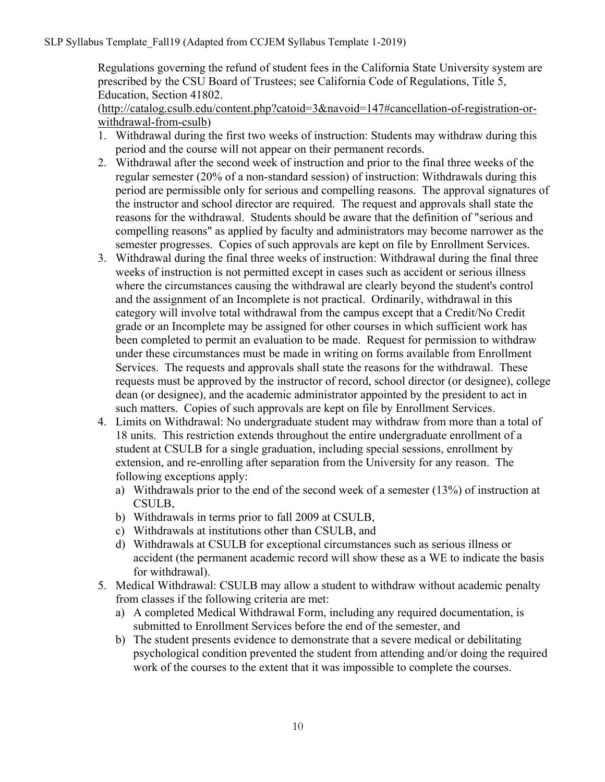Regulations governing the refund of student fees in the California State University system are prescribed by the CSU Board of Trustees; see California Code of Regulations, Title 5, Education, Section 41802.

(http://catalog.csulb.edu/content.php?catoid=3&navoid=147#cancellation-of-registration-orwithdrawal-from-csulb)

- 1. Withdrawal during the first two weeks of instruction: Students may withdraw during this period and the course will not appear on their permanent records.
- 2. Withdrawal after the second week of instruction and prior to the final three weeks of the regular semester (20% of a non-standard session) of instruction: Withdrawals during this period are permissible only for serious and compelling reasons. The approval signatures of the instructor and school director are required. The request and approvals shall state the reasons for the withdrawal. Students should be aware that the definition of "serious and compelling reasons" as applied by faculty and administrators may become narrower as the semester progresses. Copies of such approvals are kept on file by Enrollment Services.
- 3. Withdrawal during the final three weeks of instruction: Withdrawal during the final three weeks of instruction is not permitted except in cases such as accident or serious illness where the circumstances causing the withdrawal are clearly beyond the student's control and the assignment of an Incomplete is not practical. Ordinarily, withdrawal in this category will involve total withdrawal from the campus except that a Credit/No Credit grade or an Incomplete may be assigned for other courses in which sufficient work has been completed to permit an evaluation to be made. Request for permission to withdraw under these circumstances must be made in writing on forms available from Enrollment Services. The requests and approvals shall state the reasons for the withdrawal. These requests must be approved by the instructor of record, school director (or designee), college dean (or designee), and the academic administrator appointed by the president to act in such matters. Copies of such approvals are kept on file by Enrollment Services.
- 4. Limits on Withdrawal: No undergraduate student may withdraw from more than a total of 18 units. This restriction extends throughout the entire undergraduate enrollment of a student at CSULB for a single graduation, including special sessions, enrollment by extension, and re-enrolling after separation from the University for any reason. The following exceptions apply:
	- a) Withdrawals prior to the end of the second week of a semester (13%) of instruction at CSULB,
	- b) Withdrawals in terms prior to fall 2009 at CSULB,
	- c) Withdrawals at institutions other than CSULB, and
	- d) Withdrawals at CSULB for exceptional circumstances such as serious illness or accident (the permanent academic record will show these as a WE to indicate the basis for withdrawal).
- 5. Medical Withdrawal: CSULB may allow a student to withdraw without academic penalty from classes if the following criteria are met:
	- a) A completed Medical Withdrawal Form, including any required documentation, is submitted to Enrollment Services before the end of the semester, and
	- b) The student presents evidence to demonstrate that a severe medical or debilitating psychological condition prevented the student from attending and/or doing the required work of the courses to the extent that it was impossible to complete the courses.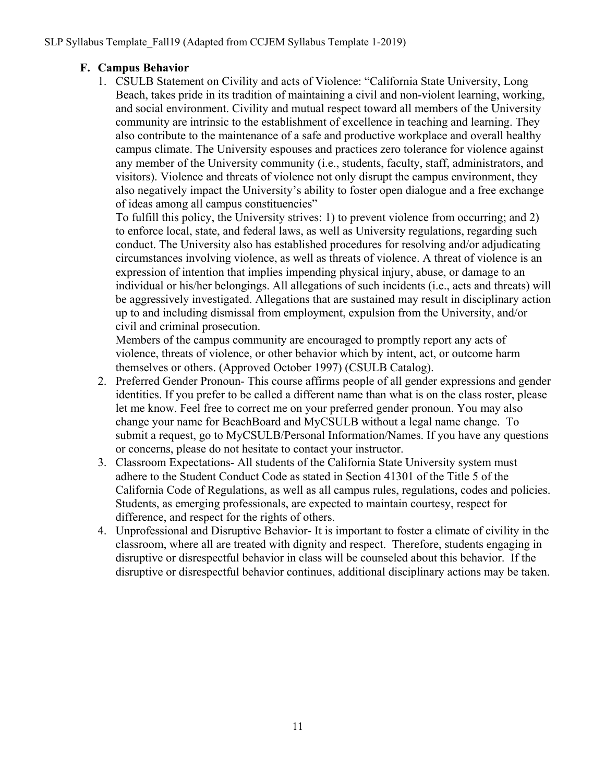## **F. Campus Behavior**

1. CSULB Statement on Civility and acts of Violence: "California State University, Long Beach, takes pride in its tradition of maintaining a civil and non-violent learning, working, and social environment. Civility and mutual respect toward all members of the University community are intrinsic to the establishment of excellence in teaching and learning. They also contribute to the maintenance of a safe and productive workplace and overall healthy campus climate. The University espouses and practices zero tolerance for violence against any member of the University community (i.e., students, faculty, staff, administrators, and visitors). Violence and threats of violence not only disrupt the campus environment, they also negatively impact the University's ability to foster open dialogue and a free exchange of ideas among all campus constituencies"

To fulfill this policy, the University strives: 1) to prevent violence from occurring; and 2) to enforce local, state, and federal laws, as well as University regulations, regarding such conduct. The University also has established procedures for resolving and/or adjudicating circumstances involving violence, as well as threats of violence. A threat of violence is an expression of intention that implies impending physical injury, abuse, or damage to an individual or his/her belongings. All allegations of such incidents (i.e., acts and threats) will be aggressively investigated. Allegations that are sustained may result in disciplinary action up to and including dismissal from employment, expulsion from the University, and/or civil and criminal prosecution.

Members of the campus community are encouraged to promptly report any acts of violence, threats of violence, or other behavior which by intent, act, or outcome harm themselves or others. (Approved October 1997) (CSULB Catalog).

- 2. Preferred Gender Pronoun- This course affirms people of all gender expressions and gender identities. If you prefer to be called a different name than what is on the class roster, please let me know. Feel free to correct me on your preferred gender pronoun. You may also change your name for BeachBoard and MyCSULB without a legal name change. To submit a request, go to MyCSULB/Personal Information/Names. If you have any questions or concerns, please do not hesitate to contact your instructor.
- 3. Classroom Expectations- All students of the California State University system must adhere to the Student Conduct Code as stated in Section 41301 of the Title 5 of the California Code of Regulations, as well as all campus rules, regulations, codes and policies. Students, as emerging professionals, are expected to maintain courtesy, respect for difference, and respect for the rights of others.
- 4. Unprofessional and Disruptive Behavior- It is important to foster a climate of civility in the classroom, where all are treated with dignity and respect. Therefore, students engaging in disruptive or disrespectful behavior in class will be counseled about this behavior. If the disruptive or disrespectful behavior continues, additional disciplinary actions may be taken.